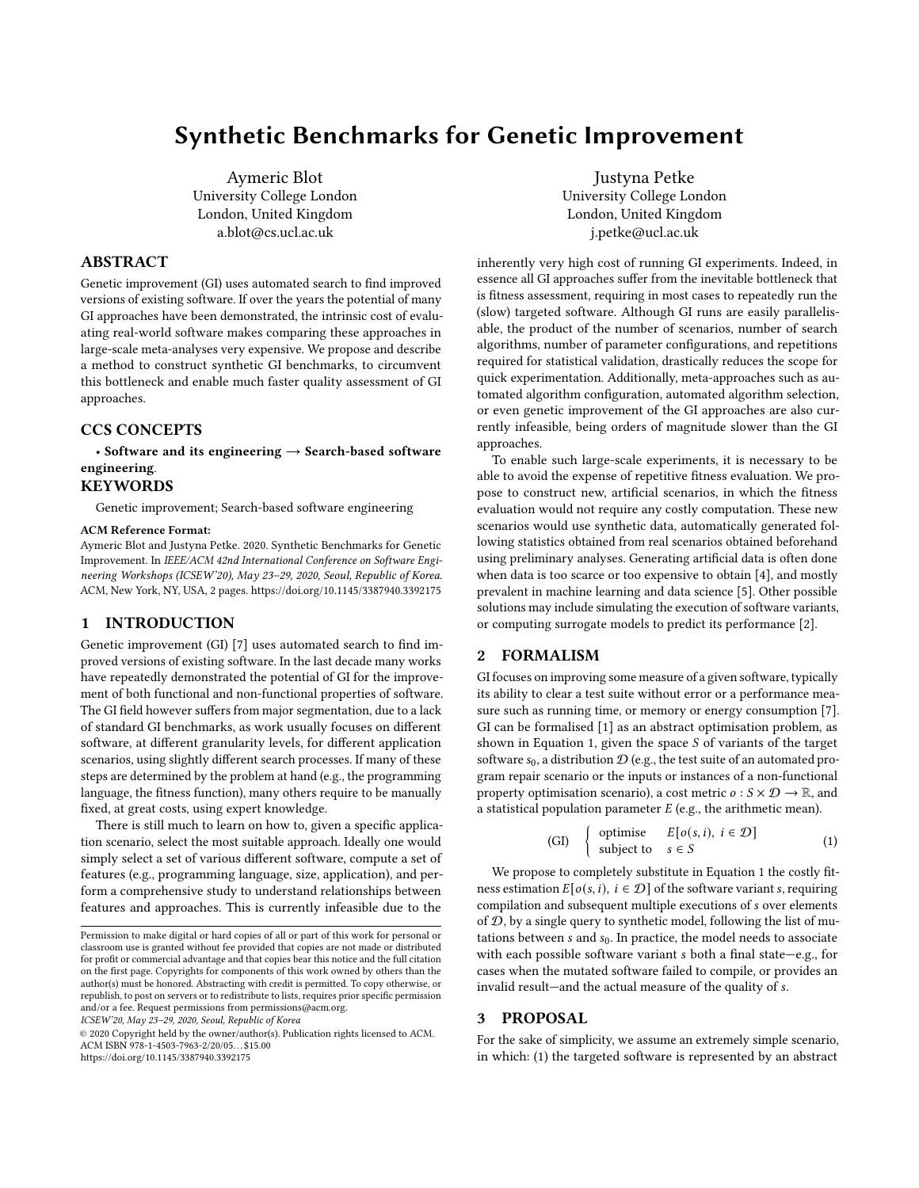# Synthetic Benchmarks for Genetic Improvement

Aymeric Blot University College London London, United Kingdom a.blot@cs.ucl.ac.uk

# ABSTRACT

Genetic improvement (GI) uses automated search to find improved versions of existing software. If over the years the potential of many GI approaches have been demonstrated, the intrinsic cost of evaluating real-world software makes comparing these approaches in large-scale meta-analyses very expensive. We propose and describe a method to construct synthetic GI benchmarks, to circumvent this bottleneck and enable much faster quality assessment of GI approaches.

# CCS CONCEPTS

• Software and its engineering  $\rightarrow$  Search-based software engineering.

#### KEYWORDS

Genetic improvement; Search-based software engineering

#### ACM Reference Format:

Aymeric Blot and Justyna Petke. 2020. Synthetic Benchmarks for Genetic Improvement. In IEEE/ACM 42nd International Conference on Software Engineering Workshops (ICSEW'20), May 23–29, 2020, Seoul, Republic of Korea. ACM, New York, NY, USA, [2](#page-1-0) pages.<https://doi.org/10.1145/3387940.3392175>

### 1 INTRODUCTION

Genetic improvement (GI) [\[7\]](#page-1-1) uses automated search to find improved versions of existing software. In the last decade many works have repeatedly demonstrated the potential of GI for the improvement of both functional and non-functional properties of software. The GI field however suffers from major segmentation, due to a lack of standard GI benchmarks, as work usually focuses on different software, at different granularity levels, for different application scenarios, using slightly different search processes. If many of these steps are determined by the problem at hand (e.g., the programming language, the fitness function), many others require to be manually fixed, at great costs, using expert knowledge.

There is still much to learn on how to, given a specific application scenario, select the most suitable approach. Ideally one would simply select a set of various different software, compute a set of features (e.g., programming language, size, application), and perform a comprehensive study to understand relationships between features and approaches. This is currently infeasible due to the

ICSEW'20, May 23–29, 2020, Seoul, Republic of Korea

© 2020 Copyright held by the owner/author(s). Publication rights licensed to ACM. ACM ISBN 978-1-4503-7963-2/20/05. . . \$15.00 <https://doi.org/10.1145/3387940.3392175>

Justyna Petke University College London London, United Kingdom j.petke@ucl.ac.uk

inherently very high cost of running GI experiments. Indeed, in essence all GI approaches suffer from the inevitable bottleneck that is fitness assessment, requiring in most cases to repeatedly run the (slow) targeted software. Although GI runs are easily parallelisable, the product of the number of scenarios, number of search algorithms, number of parameter configurations, and repetitions required for statistical validation, drastically reduces the scope for quick experimentation. Additionally, meta-approaches such as automated algorithm configuration, automated algorithm selection, or even genetic improvement of the GI approaches are also currently infeasible, being orders of magnitude slower than the GI approaches.

To enable such large-scale experiments, it is necessary to be able to avoid the expense of repetitive fitness evaluation. We propose to construct new, artificial scenarios, in which the fitness evaluation would not require any costly computation. These new scenarios would use synthetic data, automatically generated following statistics obtained from real scenarios obtained beforehand using preliminary analyses. Generating artificial data is often done when data is too scarce or too expensive to obtain [\[4\]](#page-1-2), and mostly prevalent in machine learning and data science [\[5\]](#page-1-3). Other possible solutions may include simulating the execution of software variants, or computing surrogate models to predict its performance [\[2\]](#page-1-4).

# 2 FORMALISM

GI focuses on improving some measure of a given software, typically its ability to clear a test suite without error or a performance measure such as running time, or memory or energy consumption [\[7\]](#page-1-1). GI can be formalised [\[1\]](#page-1-5) as an abstract optimisation problem, as shown in [Equation 1,](#page-0-0) given the space  $S$  of variants of the target software  $s_0$ , a distribution  $\mathcal{D}$  (e.g., the test suite of an automated program repair scenario or the inputs or instances of a non-functional property optimisation scenario), a cost metric  $o : S \times \mathcal{D} \to \mathbb{R}$ , and a statistical population parameter  $E$  (e.g., the arithmetic mean).

<span id="page-0-0"></span>(GI) { optimise 
$$
E[o(s, i), i \in \mathcal{D}]
$$
  
subject to  $s \in S$  (1)

We propose to completely substitute in [Equation 1](#page-0-0) the costly fitness estimation  $E[o(s, i), i \in \mathcal{D}]$  of the software variant s, requiring compilation and subsequent multiple executions of *s* over elements of  $D$ , by a single query to synthetic model, following the list of mutations between  $s$  and  $s_0$ . In practice, the model needs to associate with each possible software variant  $s$  both a final state—e.g., for cases when the mutated software failed to compile, or provides an invalid result—and the actual measure of the quality of .

# 3 PROPOSAL

For the sake of simplicity, we assume an extremely simple scenario, in which: (1) the targeted software is represented by an abstract

Permission to make digital or hard copies of all or part of this work for personal or classroom use is granted without fee provided that copies are not made or distributed for profit or commercial advantage and that copies bear this notice and the full citation on the first page. Copyrights for components of this work owned by others than the author(s) must be honored. Abstracting with credit is permitted. To copy otherwise, or republish, to post on servers or to redistribute to lists, requires prior specific permission and/or a fee. Request permissions from permissions@acm.org.